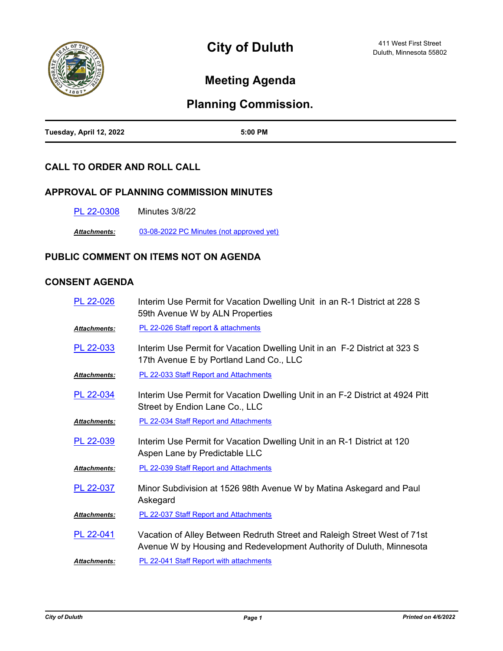

# **Meeting Agenda**

## **Planning Commission.**

| Tuesday, April 12, 2022 | 5:00 PM |
|-------------------------|---------|

## **CALL TO ORDER AND ROLL CALL**

## **APPROVAL OF PLANNING COMMISSION MINUTES**

[PL 22-0308](http://duluth-mn.legistar.com/gateway.aspx?m=l&id=/matter.aspx?key=8074) Minutes 3/8/22

*Attachments:* [03-08-2022 PC Minutes \(not approved yet\)](http://duluth-mn.legistar.com/gateway.aspx?M=F&ID=10b6248a-e8dc-4ff3-9bfd-d363824b64f6.pdf)

## **PUBLIC COMMENT ON ITEMS NOT ON AGENDA**

## **CONSENT AGENDA**

| PL 22-026           | Interim Use Permit for Vacation Dwelling Unit in an R-1 District at 228 S<br>59th Avenue W by ALN Properties                                     |
|---------------------|--------------------------------------------------------------------------------------------------------------------------------------------------|
| <b>Attachments:</b> | PL 22-026 Staff report & attachments                                                                                                             |
| PL 22-033           | Interim Use Permit for Vacation Dwelling Unit in an F-2 District at 323 S<br>17th Avenue E by Portland Land Co., LLC                             |
| <b>Attachments:</b> | <b>PL 22-033 Staff Report and Attachments</b>                                                                                                    |
| PL 22-034           | Interim Use Permit for Vacation Dwelling Unit in an F-2 District at 4924 Pitt<br>Street by Endion Lane Co., LLC                                  |
| <b>Attachments:</b> | <b>PL 22-034 Staff Report and Attachments</b>                                                                                                    |
| PL 22-039           | Interim Use Permit for Vacation Dwelling Unit in an R-1 District at 120<br>Aspen Lane by Predictable LLC                                         |
| <b>Attachments:</b> | PL 22-039 Staff Report and Attachments                                                                                                           |
| PL 22-037           | Minor Subdivision at 1526 98th Avenue W by Matina Askegard and Paul<br>Askegard                                                                  |
| Attachments:        | PL 22-037 Staff Report and Attachments                                                                                                           |
| PL 22-041           | Vacation of Alley Between Redruth Street and Raleigh Street West of 71st<br>Avenue W by Housing and Redevelopment Authority of Duluth, Minnesota |
| <b>Attachments:</b> | PL 22-041 Staff Report with attachments                                                                                                          |